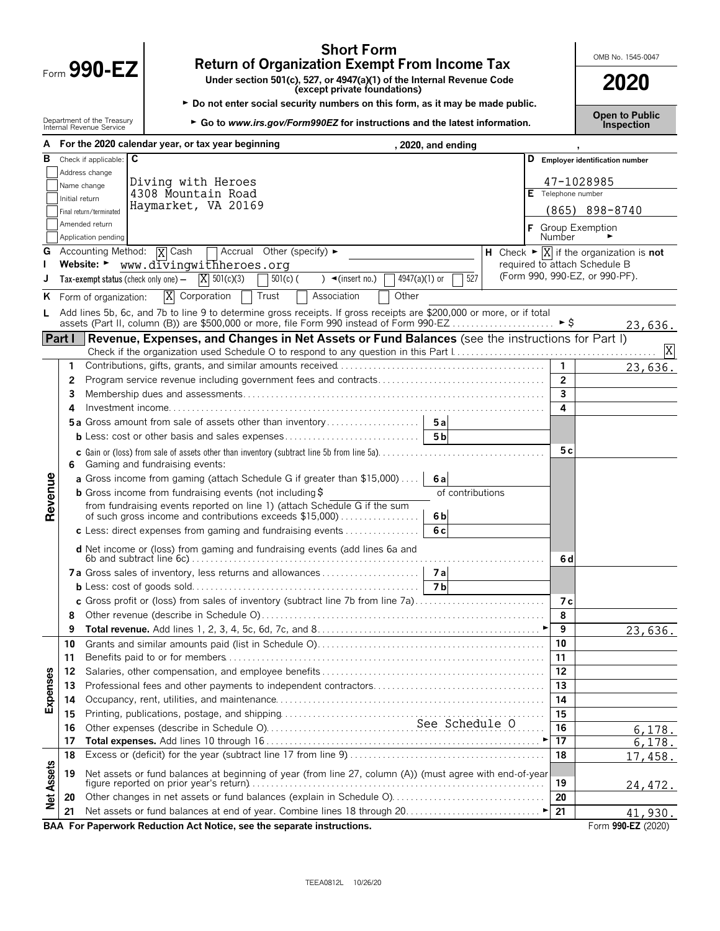| Form 990-E |  |  |
|------------|--|--|

# **Short Form**<br> **Return of Organization Exempt From Income Tax**<br>
Under section 501(c), 527, or 4947(a)(1) of the Internal Revenue Code<br> **2020**

Form **990-EZ Under section 501(c), 527, or 4947(a)(1) of the Internal Revenue Code (except private foundations) 2020**

► Do not enter social security numbers on this form, as it may be made public.

**Open to Public** Department of the Treasury <sup>G</sup>**Go to** *www.irs.gov/Form990EZ* **for instructions and the latest information***.* Internal Revenue Service **Inspection**

|                   |                | A For the 2020 calendar year, or tax year beginning<br>, 2020, and ending                                                                               |                 |                                                                         |
|-------------------|----------------|---------------------------------------------------------------------------------------------------------------------------------------------------------|-----------------|-------------------------------------------------------------------------|
| в                 |                | Check if applicable: C                                                                                                                                  |                 | D Employer identification number                                        |
|                   |                | Address change<br>Diving with Heroes                                                                                                                    |                 |                                                                         |
|                   | Name change    | 4308 Mountain Road                                                                                                                                      |                 | 47-1028985<br>E Telephone number                                        |
|                   | Initial return | Haymarket, VA 20169<br>Final return/terminated                                                                                                          |                 | $(865)$ 898-8740                                                        |
|                   |                | Amended return                                                                                                                                          |                 |                                                                         |
|                   |                | Application pending                                                                                                                                     | Number          | F Group Exemption                                                       |
|                   |                | <b>G</b> Accounting Method: $\overline{X}$ Cash<br>$\Box$ Accrual Other (specify) $\blacktriangleright$                                                 |                 | H Check $\triangleright \overline{X}$ if the organization is <b>not</b> |
|                   |                | Website: ►<br>www.divingwithheroes.org                                                                                                                  |                 | required to attach Schedule B                                           |
|                   |                | 527<br>$X = 501(c)(3)$<br>4947(a)(1) or<br>$501(c)$ (<br>$) \triangleleft ($ insert no.)<br>Tax-exempt status (check only one) $-$                      |                 | (Form 990, 990-EZ, or 990-PF).                                          |
|                   |                | X Corporation<br>Association<br>Other<br>Trust<br><b>K</b> Form of organization:                                                                        |                 |                                                                         |
| L.                |                | Add lines 5b, 6c, and 7b to line 9 to determine gross receipts. If gross receipts are \$200,000 or more, or if total                                    |                 |                                                                         |
|                   |                | assets (Part II, column (B)) are \$500,000 or more, file Form 990 instead of Form 990-EZ                                                                |                 | ► \$<br>23,636.                                                         |
|                   | Part I         | Revenue, Expenses, and Changes in Net Assets or Fund Balances (see the instructions for Part I)                                                         |                 |                                                                         |
|                   |                |                                                                                                                                                         |                 | X                                                                       |
|                   | 1.             |                                                                                                                                                         | $\mathbf{1}$    | 23,636.                                                                 |
|                   | 2              |                                                                                                                                                         | $\overline{2}$  |                                                                         |
|                   | 3              |                                                                                                                                                         | 3               |                                                                         |
|                   | 4              |                                                                                                                                                         | 4               |                                                                         |
|                   |                | <b>5a</b> Gross amount from sale of assets other than inventory<br>5a                                                                                   |                 |                                                                         |
|                   |                | <b>b</b> Less: cost or other basis and sales expenses<br>5 <sub>b</sub>                                                                                 |                 |                                                                         |
|                   |                | <b>c</b> Gain or (loss) from sale of assets other than inventory (subtract line 5b from line 5a). $\ldots$ .                                            |                 | 5c                                                                      |
|                   | 6              | Gaming and fundraising events:                                                                                                                          |                 |                                                                         |
|                   |                | a Gross income from gaming (attach Schedule G if greater than \$15,000)<br>6a                                                                           |                 |                                                                         |
| Revenue           |                | <b>b</b> Gross income from fundraising events (not including \$<br>of contributions                                                                     |                 |                                                                         |
|                   |                | from fundraising events reported on line 1) (attach Schedule G if the sum<br>of such gross income and contributions exceeds \$15,000)<br>6 <sub>b</sub> |                 |                                                                         |
|                   |                | 6c<br>c Less: direct expenses from gaming and fundraising events                                                                                        |                 |                                                                         |
|                   |                | d Net income or (loss) from gaming and fundraising events (add lines 6a and                                                                             |                 |                                                                         |
|                   |                |                                                                                                                                                         |                 | 6 d                                                                     |
|                   |                |                                                                                                                                                         |                 |                                                                         |
|                   |                | 7 <sub>b</sub>                                                                                                                                          |                 |                                                                         |
|                   |                | c Gross profit or (loss) from sales of inventory (subtract line 7b from line 7a)                                                                        |                 | 7 с                                                                     |
|                   | 8              |                                                                                                                                                         | 8               |                                                                         |
|                   | 9              |                                                                                                                                                         | 9               | 23,636.                                                                 |
|                   | 10             |                                                                                                                                                         | 10              |                                                                         |
|                   | 11             |                                                                                                                                                         | 11              |                                                                         |
|                   | 12             |                                                                                                                                                         | 12              |                                                                         |
| Expenses          | 13             |                                                                                                                                                         | 13              |                                                                         |
|                   | 14             |                                                                                                                                                         | 14              |                                                                         |
|                   | 15             |                                                                                                                                                         | 15              |                                                                         |
|                   | 16             |                                                                                                                                                         | 16              | 6, 178.                                                                 |
|                   | 17             |                                                                                                                                                         | $\overline{17}$ | 6,178.                                                                  |
|                   | 18             |                                                                                                                                                         | 18              | 17,458.                                                                 |
|                   | 19             | Net assets or fund balances at beginning of year (from line 27, column (A)) (must agree with end-of-year                                                | 19              |                                                                         |
| <b>Net Assets</b> | 20             | Other changes in net assets or fund balances (explain in Schedule O)                                                                                    | 20              | 24,472.                                                                 |
|                   | 21             |                                                                                                                                                         | 21              | 41,930.                                                                 |
|                   |                | BAA For Paperwork Reduction Act Notice, see the separate instructions.                                                                                  |                 | Form 990-EZ (2020)                                                      |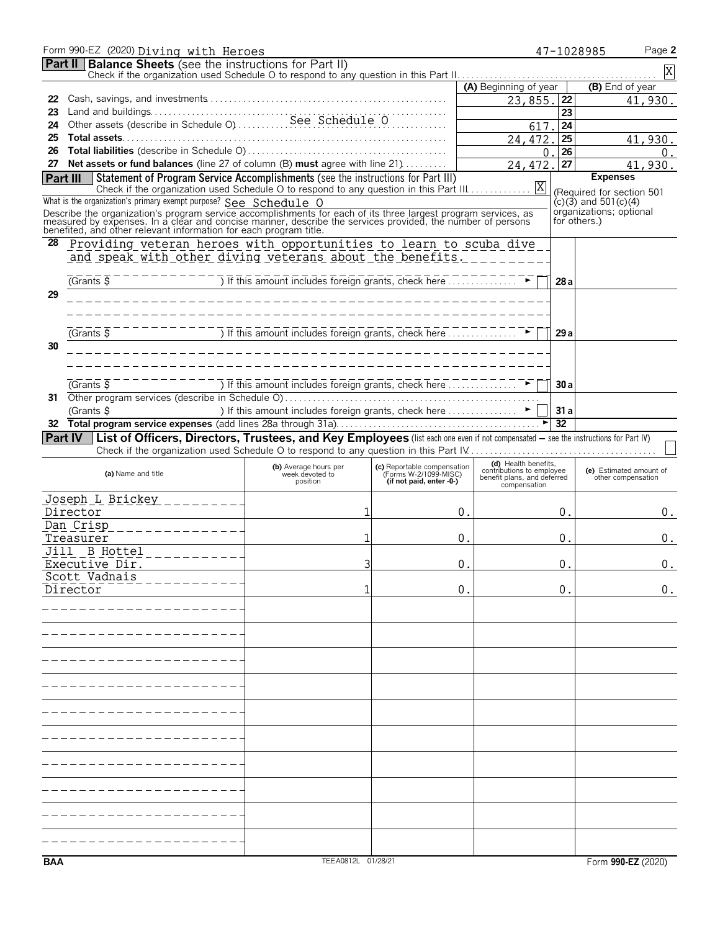|                 | Form 990-EZ (2020) Diving with Heroes                                                                                                                                                                                        |                                                                                                                                                                                                                                                                                                           |                                                   |                                                   |                 | Page 2<br>47-1028985                    |
|-----------------|------------------------------------------------------------------------------------------------------------------------------------------------------------------------------------------------------------------------------|-----------------------------------------------------------------------------------------------------------------------------------------------------------------------------------------------------------------------------------------------------------------------------------------------------------|---------------------------------------------------|---------------------------------------------------|-----------------|-----------------------------------------|
|                 | <b>Part II   Balance Sheets</b> (see the instructions for Part II)                                                                                                                                                           |                                                                                                                                                                                                                                                                                                           |                                                   |                                                   |                 | Χ                                       |
|                 |                                                                                                                                                                                                                              |                                                                                                                                                                                                                                                                                                           |                                                   | (A) Beginning of year                             |                 | (B) End of year                         |
| 22              |                                                                                                                                                                                                                              |                                                                                                                                                                                                                                                                                                           |                                                   | 23,855. 22                                        |                 | 41,930.                                 |
| 23              |                                                                                                                                                                                                                              |                                                                                                                                                                                                                                                                                                           |                                                   |                                                   | 23              |                                         |
| 24              |                                                                                                                                                                                                                              |                                                                                                                                                                                                                                                                                                           |                                                   | 617.                                              | 24              |                                         |
| 25              |                                                                                                                                                                                                                              |                                                                                                                                                                                                                                                                                                           |                                                   | 24,472.                                           | 25              | 41,930.                                 |
| 26              |                                                                                                                                                                                                                              |                                                                                                                                                                                                                                                                                                           |                                                   | 0                                                 | 26              | 0 <sup>1</sup>                          |
|                 | 27 Net assets or fund balances (line 27 of column (B) must agree with line 21)                                                                                                                                               |                                                                                                                                                                                                                                                                                                           |                                                   | 24,472.                                           | 27              | 41,930.                                 |
| <b>Part III</b> | Statement of Program Service Accomplishments (see the instructions for Part III)                                                                                                                                             |                                                                                                                                                                                                                                                                                                           |                                                   |                                                   |                 | <b>Expenses</b>                         |
|                 |                                                                                                                                                                                                                              |                                                                                                                                                                                                                                                                                                           |                                                   |                                                   |                 | (Required for section 501               |
|                 | What is the organization's primary exempt purpose? See Schedule O                                                                                                                                                            |                                                                                                                                                                                                                                                                                                           |                                                   |                                                   |                 | $(c)(3)$ and 501 $(c)(4)$               |
|                 | Describe the organization's program service accomplishments for each of its three largest program services, as<br>measured by expenses. In a clear and concise manner, describe the services provided, the number of persons |                                                                                                                                                                                                                                                                                                           |                                                   |                                                   |                 | organizations; optional<br>for others.) |
|                 | benefited, and other relevant information for each program title.                                                                                                                                                            |                                                                                                                                                                                                                                                                                                           |                                                   |                                                   |                 |                                         |
| 28              | Providing veteran heroes with opportunities to learn to scuba dive                                                                                                                                                           |                                                                                                                                                                                                                                                                                                           |                                                   |                                                   |                 |                                         |
|                 | and speak with other diving veterans about the benefits.                                                                                                                                                                     |                                                                                                                                                                                                                                                                                                           |                                                   |                                                   |                 |                                         |
|                 |                                                                                                                                                                                                                              |                                                                                                                                                                                                                                                                                                           |                                                   |                                                   |                 |                                         |
|                 | $G$ rants $\overline{S}$                                                                                                                                                                                                     | $\frac{1}{2}$ = $\frac{1}{2}$ = $\frac{1}{2}$ = $\frac{1}{2}$ = $\frac{1}{2}$ = $\frac{1}{2}$ = $\frac{1}{2}$ = $\frac{1}{2}$ = $\frac{1}{2}$ = $\frac{1}{2}$ = $\frac{1}{2}$ = $\frac{1}{2}$ = $\frac{1}{2}$ = $\frac{1}{2}$ = $\frac{1}{2}$ = $\frac{1}{2}$ = $\frac{1}{2}$ = $\frac{1}{2}$ = $\frac{1$ |                                                   |                                                   | 28 a            |                                         |
| 29              |                                                                                                                                                                                                                              |                                                                                                                                                                                                                                                                                                           |                                                   |                                                   |                 |                                         |
|                 |                                                                                                                                                                                                                              |                                                                                                                                                                                                                                                                                                           |                                                   |                                                   |                 |                                         |
|                 |                                                                                                                                                                                                                              |                                                                                                                                                                                                                                                                                                           |                                                   |                                                   |                 |                                         |
|                 | (Grants S)                                                                                                                                                                                                                   | This amount includes foreign grants, check here                                                                                                                                                                                                                                                           |                                                   |                                                   | 29a             |                                         |
| 30              |                                                                                                                                                                                                                              |                                                                                                                                                                                                                                                                                                           |                                                   |                                                   |                 |                                         |
|                 |                                                                                                                                                                                                                              |                                                                                                                                                                                                                                                                                                           |                                                   |                                                   |                 |                                         |
|                 |                                                                                                                                                                                                                              |                                                                                                                                                                                                                                                                                                           |                                                   |                                                   |                 |                                         |
|                 | $G$ rants $\overline{S}$                                                                                                                                                                                                     | If this amount includes foreign grants, check here                                                                                                                                                                                                                                                        |                                                   |                                                   | 30a             |                                         |
| 31              |                                                                                                                                                                                                                              |                                                                                                                                                                                                                                                                                                           |                                                   |                                                   |                 |                                         |
|                 | (Grants \$                                                                                                                                                                                                                   |                                                                                                                                                                                                                                                                                                           |                                                   |                                                   | 31a             |                                         |
| 32              |                                                                                                                                                                                                                              |                                                                                                                                                                                                                                                                                                           |                                                   |                                                   | $\overline{32}$ |                                         |
|                 | Part IV List of Officers, Directors, Trustees, and Key Employees (list each one even if not compensated - see the instructions for Part IV)                                                                                  |                                                                                                                                                                                                                                                                                                           |                                                   |                                                   |                 |                                         |
|                 |                                                                                                                                                                                                                              |                                                                                                                                                                                                                                                                                                           |                                                   |                                                   |                 |                                         |
|                 |                                                                                                                                                                                                                              | (b) Average hours per                                                                                                                                                                                                                                                                                     | (c) Reportable compensation                       | (d) Health benefits.<br>contributions to employee |                 | (e) Estimated amount of                 |
|                 | (a) Name and title                                                                                                                                                                                                           | week devoted to<br>position                                                                                                                                                                                                                                                                               | (Forms W-2/1099-MISC)<br>(if not paid, enter -0-) | benefit plans, and deferred<br>compensation       |                 | other compensation                      |
|                 | Joseph L Brickey ________                                                                                                                                                                                                    |                                                                                                                                                                                                                                                                                                           |                                                   |                                                   |                 |                                         |
|                 | Director                                                                                                                                                                                                                     | 1                                                                                                                                                                                                                                                                                                         |                                                   | 0.                                                | 0.              | 0.                                      |
|                 | Dan Crisp                                                                                                                                                                                                                    |                                                                                                                                                                                                                                                                                                           |                                                   |                                                   |                 |                                         |
|                 | . _ _ _ _ _ _ _ _ _ _ _ _ _<br>Treasurer                                                                                                                                                                                     |                                                                                                                                                                                                                                                                                                           |                                                   | 0.                                                | $\mathbf 0$ .   | 0.                                      |
|                 | Jill B Hottel                                                                                                                                                                                                                |                                                                                                                                                                                                                                                                                                           |                                                   |                                                   |                 |                                         |
|                 | ---------<br>Executive Dir.                                                                                                                                                                                                  |                                                                                                                                                                                                                                                                                                           | 0                                                 |                                                   | $\Omega$        | $0$ .                                   |
|                 | Scott Vadnais                                                                                                                                                                                                                |                                                                                                                                                                                                                                                                                                           |                                                   |                                                   |                 |                                         |
|                 | Director                                                                                                                                                                                                                     |                                                                                                                                                                                                                                                                                                           | 0                                                 |                                                   | 0               | 0.                                      |
|                 |                                                                                                                                                                                                                              |                                                                                                                                                                                                                                                                                                           |                                                   |                                                   |                 |                                         |
|                 |                                                                                                                                                                                                                              |                                                                                                                                                                                                                                                                                                           |                                                   |                                                   |                 |                                         |
|                 |                                                                                                                                                                                                                              |                                                                                                                                                                                                                                                                                                           |                                                   |                                                   |                 |                                         |
|                 |                                                                                                                                                                                                                              |                                                                                                                                                                                                                                                                                                           |                                                   |                                                   |                 |                                         |
|                 |                                                                                                                                                                                                                              |                                                                                                                                                                                                                                                                                                           |                                                   |                                                   |                 |                                         |
|                 |                                                                                                                                                                                                                              |                                                                                                                                                                                                                                                                                                           |                                                   |                                                   |                 |                                         |
|                 |                                                                                                                                                                                                                              |                                                                                                                                                                                                                                                                                                           |                                                   |                                                   |                 |                                         |
|                 |                                                                                                                                                                                                                              |                                                                                                                                                                                                                                                                                                           |                                                   |                                                   |                 |                                         |
|                 |                                                                                                                                                                                                                              |                                                                                                                                                                                                                                                                                                           |                                                   |                                                   |                 |                                         |
|                 |                                                                                                                                                                                                                              |                                                                                                                                                                                                                                                                                                           |                                                   |                                                   |                 |                                         |
|                 |                                                                                                                                                                                                                              |                                                                                                                                                                                                                                                                                                           |                                                   |                                                   |                 |                                         |
|                 |                                                                                                                                                                                                                              |                                                                                                                                                                                                                                                                                                           |                                                   |                                                   |                 |                                         |
|                 |                                                                                                                                                                                                                              |                                                                                                                                                                                                                                                                                                           |                                                   |                                                   |                 |                                         |
|                 |                                                                                                                                                                                                                              |                                                                                                                                                                                                                                                                                                           |                                                   |                                                   |                 |                                         |
|                 |                                                                                                                                                                                                                              |                                                                                                                                                                                                                                                                                                           |                                                   |                                                   |                 |                                         |
|                 |                                                                                                                                                                                                                              |                                                                                                                                                                                                                                                                                                           |                                                   |                                                   |                 |                                         |
|                 |                                                                                                                                                                                                                              |                                                                                                                                                                                                                                                                                                           |                                                   |                                                   |                 |                                         |
|                 |                                                                                                                                                                                                                              |                                                                                                                                                                                                                                                                                                           |                                                   |                                                   |                 |                                         |
|                 |                                                                                                                                                                                                                              |                                                                                                                                                                                                                                                                                                           |                                                   |                                                   |                 |                                         |
|                 |                                                                                                                                                                                                                              |                                                                                                                                                                                                                                                                                                           |                                                   |                                                   |                 |                                         |
| <b>BAA</b>      |                                                                                                                                                                                                                              | TEEA0812L 01/28/21                                                                                                                                                                                                                                                                                        |                                                   |                                                   |                 | Form 990-EZ (2020)                      |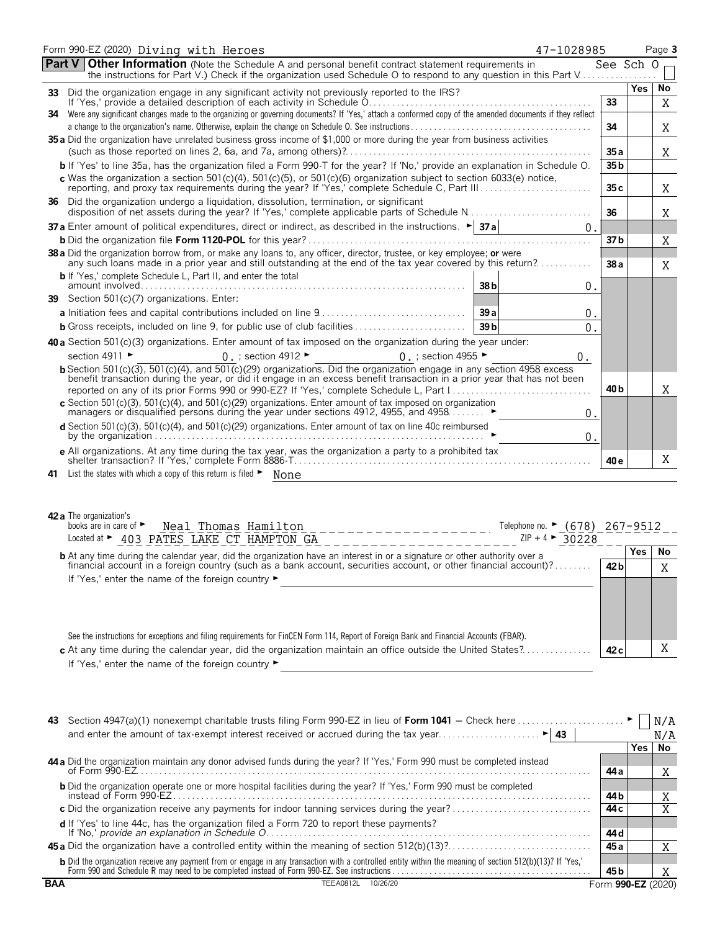|    | Form 990-EZ (2020) Diving with Heroes<br>47-1028985                                                                                                                                                                                                                                                                                                                                                                                                                                            |                 |     | Page 3  |
|----|------------------------------------------------------------------------------------------------------------------------------------------------------------------------------------------------------------------------------------------------------------------------------------------------------------------------------------------------------------------------------------------------------------------------------------------------------------------------------------------------|-----------------|-----|---------|
|    | <b>Other Information</b> (Note the Schedule A and personal benefit contract statement requirements in<br><b>Part V</b><br>the instructions for Part V.) Check if the organization used Schedule O to respond to any question in this Part V                                                                                                                                                                                                                                                    | See Sch O       |     |         |
| 33 | Did the organization engage in any significant activity not previously reported to the IRS?                                                                                                                                                                                                                                                                                                                                                                                                    |                 | Yes | No      |
|    | If 'Yes,' provide a detailed description of each activity in Schedule 0.                                                                                                                                                                                                                                                                                                                                                                                                                       | 33              |     | Χ       |
| 34 | Were any significant changes made to the organizing or governing documents? If 'Yes,' attach a conformed copy of the amended documents if they reflect                                                                                                                                                                                                                                                                                                                                         | 34              |     | Χ       |
|    | 35 a Did the organization have unrelated business gross income of \$1,000 or more during the year from business activities                                                                                                                                                                                                                                                                                                                                                                     |                 |     |         |
|    |                                                                                                                                                                                                                                                                                                                                                                                                                                                                                                | 35 a            |     | Χ       |
|    | b If 'Yes' to line 35a, has the organization filed a Form 990-T for the year? If 'No,' provide an explanation in Schedule O.                                                                                                                                                                                                                                                                                                                                                                   | 35 <sub>b</sub> |     |         |
|    | c Was the organization a section 501(c)(4), 501(c)(5), or 501(c)(6) organization subject to section 6033(e) notice,                                                                                                                                                                                                                                                                                                                                                                            | 35c             |     | Χ       |
|    | 36 Did the organization undergo a liquidation, dissolution, termination, or significant<br>disposition of net assets during the year? If 'Yes,' complete applicable parts of Schedule N                                                                                                                                                                                                                                                                                                        | 36              |     | Χ       |
|    | <b>37</b> Enter amount of political expenditures, direct or indirect, as described in the instructions. $\blacktriangleright$ <b>37a</b><br>$\mathbf 0$ .                                                                                                                                                                                                                                                                                                                                      |                 |     |         |
|    |                                                                                                                                                                                                                                                                                                                                                                                                                                                                                                | 37 b            |     | Χ       |
|    | 38 a Did the organization borrow from, or make any loans to, any officer, director, trustee, or key employee; or were<br>any such loans made in a prior year and still outstanding at the end of the tax year covered by this return?                                                                                                                                                                                                                                                          | 38a             |     | X       |
|    | <b>b</b> If 'Yes,' complete Schedule L, Part II, and enter the total<br>38b<br>$\boldsymbol{0}$ .                                                                                                                                                                                                                                                                                                                                                                                              |                 |     |         |
|    | 39 Section 501(c)(7) organizations. Enter:                                                                                                                                                                                                                                                                                                                                                                                                                                                     |                 |     |         |
|    | 39a<br>О.                                                                                                                                                                                                                                                                                                                                                                                                                                                                                      |                 |     |         |
|    | 39 <sub>b</sub><br>0.                                                                                                                                                                                                                                                                                                                                                                                                                                                                          |                 |     |         |
|    | 40 a Section 501(c)(3) organizations. Enter amount of tax imposed on the organization during the year under:                                                                                                                                                                                                                                                                                                                                                                                   |                 |     |         |
|    | section 4911 ►<br>$0.$ ; section 4912 $\blacktriangleright$<br>0. ; section 4955 $\blacktriangleright$<br>0.                                                                                                                                                                                                                                                                                                                                                                                   |                 |     |         |
|    | <b>b</b> Section 501(c)(3), 501(c)(4), and 501(c)(29) organizations. Did the organization engage in any section 4958 excess<br>benefit transaction during the year, or did it engage in an excess benefit transaction in a prior year that has not been                                                                                                                                                                                                                                        |                 |     |         |
|    |                                                                                                                                                                                                                                                                                                                                                                                                                                                                                                | 40 b            |     | Χ       |
|    | c Section 501(c)(3), 501(c)(4), and 501(c)(29) organizations. Enter amount of tax imposed on organization managers or disqualified persons during the year under sections 4912, 4955, and 4958<br>0.                                                                                                                                                                                                                                                                                           |                 |     |         |
|    | d Section 501(c)(3), 501(c)(4), and 501(c)(29) organizations. Enter amount of tax on line 40c reimbursed<br>by the organization $\ldots$ $\ldots$ $\ldots$ $\ldots$ $\ldots$ $\ldots$ $\ldots$ $\ldots$ $\ldots$ $\ldots$ $\ldots$ $\ldots$ $\ldots$<br>0.                                                                                                                                                                                                                                     |                 |     |         |
|    | e All organizations. At any time during the tax year, was the organization a party to a prohibited tax                                                                                                                                                                                                                                                                                                                                                                                         | 40 e            |     | X       |
| 41 | List the states with which a copy of this return is filed $\blacktriangleright$ None                                                                                                                                                                                                                                                                                                                                                                                                           |                 |     |         |
|    | 42 a The organization's<br>books are in care of $\blacktriangleright$<br>Telephone no. ► (678) 267-9512<br>Neal Thomas Hamilton<br>Located at > 403 PATES LAKE CT HAMPTON GA<br>$ZIP + 4$<br>30228<br><b>b</b> At any time during the calendar year, did the organization have an interest in or a signature or other authority over a financial account in a foreign country (such as a bank account, securities account, or other finan<br>If 'Yes,' enter the name of the foreign country ► | 42 b            | Yes | No<br>X |
|    | See the instructions for exceptions and filing requirements for FinCEN Form 114, Report of Foreign Bank and Financial Accounts (FBAR).<br>c At any time during the calendar year, did the organization maintain an office outside the United States?                                                                                                                                                                                                                                           | 42 <sub>c</sub> |     | Χ       |

| If 'Yes,' enter the name of the foreign country $\blacktriangleright$ |  |
|-----------------------------------------------------------------------|--|
|                                                                       |  |

| 43         | Section 4947(a)(1) nonexempt charitable trusts filing Form 990-EZ in lieu of <b>Form 1041</b> – Check here                                                                                                                             |      |      |                    |
|------------|----------------------------------------------------------------------------------------------------------------------------------------------------------------------------------------------------------------------------------------|------|------|--------------------|
|            |                                                                                                                                                                                                                                        |      |      | N/A                |
|            |                                                                                                                                                                                                                                        |      | Yes. | No                 |
|            | 44 a Did the organization maintain any donor advised funds during the year? If 'Yes,' Form 990 must be completed instead                                                                                                               |      |      |                    |
|            | of Form $990-EZ$ .                                                                                                                                                                                                                     | 44 a |      | A                  |
|            | <b>b</b> Did the organization operate one or more hospital facilities during the year? If 'Yes,' Form 990 must be completed                                                                                                            |      |      |                    |
|            | instead of Form 990-EZ.                                                                                                                                                                                                                | 44 b |      | A                  |
|            |                                                                                                                                                                                                                                        | 44 c |      |                    |
|            |                                                                                                                                                                                                                                        |      |      |                    |
|            |                                                                                                                                                                                                                                        | 44 d |      |                    |
|            |                                                                                                                                                                                                                                        | 45 a |      |                    |
|            | <b>b</b> Did the organization receive any payment from or engage in any transaction with a controlled entity within the meaning of section 512(b)(13)? If 'Yes,'<br>Form 990 and Schedule R may need to be completed instead of Form 9 |      |      |                    |
|            |                                                                                                                                                                                                                                        | 45 b |      |                    |
| <b>BAA</b> | 10/26/20<br>TEEA0812L                                                                                                                                                                                                                  |      |      | Form 990-EZ (2020) |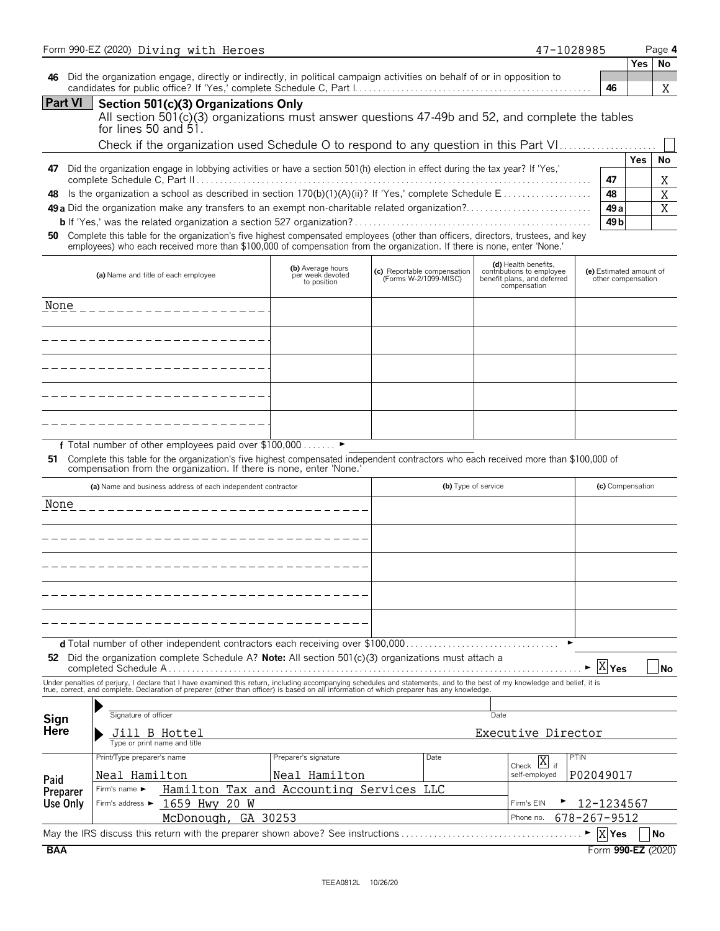|              | Form 990-EZ (2020) Diving with Heroes                                                                                                                                                                                                                                                                                    |                                                      |                                                      | 47-1028985                                                                                       |                                               |            | Page 4    |
|--------------|--------------------------------------------------------------------------------------------------------------------------------------------------------------------------------------------------------------------------------------------------------------------------------------------------------------------------|------------------------------------------------------|------------------------------------------------------|--------------------------------------------------------------------------------------------------|-----------------------------------------------|------------|-----------|
|              |                                                                                                                                                                                                                                                                                                                          |                                                      |                                                      |                                                                                                  |                                               | <b>Yes</b> | No        |
| 46           | Did the organization engage, directly or indirectly, in political campaign activities on behalf of or in opposition to                                                                                                                                                                                                   |                                                      |                                                      |                                                                                                  | 46                                            |            | Χ         |
| Part VI      | Section 501(c)(3) Organizations Only<br>All section $501(c)(3)$ organizations must answer questions $47-49b$ and $52$ , and complete the tables<br>for lines 50 and 51.                                                                                                                                                  |                                                      |                                                      |                                                                                                  |                                               |            |           |
|              | Check if the organization used Schedule O to respond to any question in this Part VI                                                                                                                                                                                                                                     |                                                      |                                                      |                                                                                                  |                                               |            |           |
| 47           | Did the organization engage in lobbying activities or have a section 501(h) election in effect during the tax year? If 'Yes,'                                                                                                                                                                                            |                                                      |                                                      |                                                                                                  |                                               | <b>Yes</b> | No        |
|              |                                                                                                                                                                                                                                                                                                                          |                                                      |                                                      |                                                                                                  | 47                                            |            | Χ         |
| 48           | Is the organization a school as described in section 170(b)(1)(A)(ii)? If 'Yes,' complete Schedule E                                                                                                                                                                                                                     |                                                      |                                                      |                                                                                                  | 48                                            |            | X         |
|              | <b>49 a</b> Did the organization make any transfers to an exempt non-charitable related organization?                                                                                                                                                                                                                    |                                                      |                                                      |                                                                                                  | 49 a                                          |            | X         |
| 50           | Complete this table for the organization's five highest compensated employees (other than officers, directors, trustees, and key<br>employees) who each received more than \$100,000 of compensation from the organization. If there is none, enter 'None.'                                                              |                                                      |                                                      |                                                                                                  | 49 <sub>b</sub>                               |            |           |
|              | (a) Name and title of each employee                                                                                                                                                                                                                                                                                      | (b) Average hours<br>per week devoted<br>to position | (c) Reportable compensation<br>(Forms W-2/1099-MISC) | (d) Health benefits,<br>contributions to employee<br>benefit plans, and deferred<br>compensation | (e) Estimated amount of<br>other compensation |            |           |
| None         |                                                                                                                                                                                                                                                                                                                          |                                                      |                                                      |                                                                                                  |                                               |            |           |
|              |                                                                                                                                                                                                                                                                                                                          |                                                      |                                                      |                                                                                                  |                                               |            |           |
|              |                                                                                                                                                                                                                                                                                                                          |                                                      |                                                      |                                                                                                  |                                               |            |           |
|              |                                                                                                                                                                                                                                                                                                                          |                                                      |                                                      |                                                                                                  |                                               |            |           |
|              |                                                                                                                                                                                                                                                                                                                          |                                                      |                                                      |                                                                                                  |                                               |            |           |
|              | f Total number of other employees paid over \$100,000 ►<br>51 Complete this table for the organization's five highest compensated independent contractors who each received more than \$100,000 of<br>compensation from the organization. If there is none, enter 'None.'                                                |                                                      |                                                      |                                                                                                  |                                               |            |           |
|              | (a) Name and business address of each independent contractor                                                                                                                                                                                                                                                             |                                                      | (b) Type of service                                  |                                                                                                  | (c) Compensation                              |            |           |
| None         |                                                                                                                                                                                                                                                                                                                          |                                                      |                                                      |                                                                                                  |                                               |            |           |
|              |                                                                                                                                                                                                                                                                                                                          |                                                      |                                                      |                                                                                                  |                                               |            |           |
|              |                                                                                                                                                                                                                                                                                                                          |                                                      |                                                      |                                                                                                  |                                               |            |           |
|              |                                                                                                                                                                                                                                                                                                                          |                                                      |                                                      |                                                                                                  |                                               |            |           |
|              |                                                                                                                                                                                                                                                                                                                          |                                                      |                                                      |                                                                                                  |                                               |            |           |
|              |                                                                                                                                                                                                                                                                                                                          |                                                      |                                                      |                                                                                                  |                                               |            |           |
|              |                                                                                                                                                                                                                                                                                                                          |                                                      |                                                      |                                                                                                  |                                               |            |           |
|              |                                                                                                                                                                                                                                                                                                                          |                                                      |                                                      |                                                                                                  |                                               |            |           |
|              |                                                                                                                                                                                                                                                                                                                          |                                                      |                                                      |                                                                                                  |                                               |            |           |
|              | 52 Did the organization complete Schedule A? Note: All section 501(c)(3) organizations must attach a                                                                                                                                                                                                                     |                                                      |                                                      |                                                                                                  |                                               |            |           |
|              |                                                                                                                                                                                                                                                                                                                          |                                                      |                                                      |                                                                                                  | X <sub>Yes</sub>                              |            |           |
|              | Under penalties of perjury, I declare that I have examined this return, including accompanying schedules and statements, and to the best of my knowledge and belief, it is<br>true, correct, and complete. Declaration of preparer (other than officer) is based on all information of which preparer has any knowledge. |                                                      |                                                      |                                                                                                  |                                               |            |           |
|              | Signature of officer                                                                                                                                                                                                                                                                                                     |                                                      |                                                      | Date                                                                                             |                                               |            |           |
| Sign<br>Here |                                                                                                                                                                                                                                                                                                                          |                                                      |                                                      |                                                                                                  |                                               |            |           |
|              | Jill B Hottel<br>Type or print name and title                                                                                                                                                                                                                                                                            |                                                      |                                                      | Executive Director                                                                               |                                               |            |           |
|              | Print/Type preparer's name                                                                                                                                                                                                                                                                                               | Preparer's signature                                 | Date                                                 |                                                                                                  | <b>PTIN</b>                                   |            |           |
| Paid         | Neal Hamilton                                                                                                                                                                                                                                                                                                            | Neal Hamilton                                        |                                                      | Check $\overline{X}$ if<br>self-employed                                                         | P02049017                                     |            |           |
| Preparer     | Hamilton Tax and Accounting Services LLC<br>Firm's name ►                                                                                                                                                                                                                                                                |                                                      |                                                      |                                                                                                  |                                               |            |           |
| Use Only     | 1659 Hwy 20 W<br>Firm's address ▶                                                                                                                                                                                                                                                                                        |                                                      |                                                      | Firm's EIN                                                                                       | 12-1234567                                    |            | <b>No</b> |
|              | McDonough, GA 30253<br>May the IRS discuss this return with the preparer shown above? See instructions                                                                                                                                                                                                                   |                                                      |                                                      | Phone no.                                                                                        | 678-267-9512<br>$\triangleright$  X Yes       |            | No        |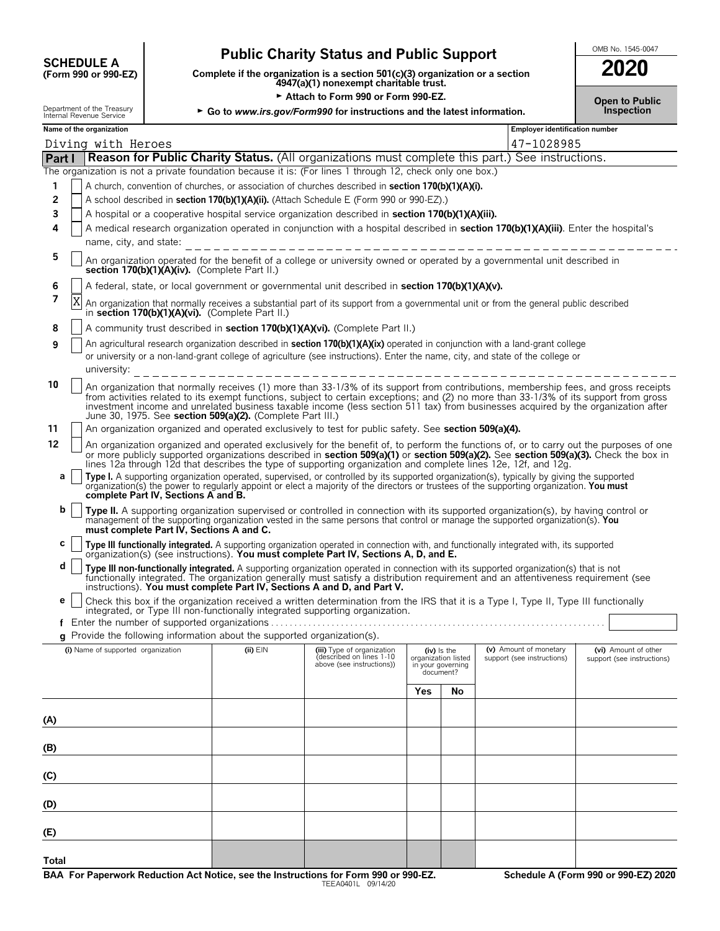## **Public Charity Status and Public Support**<br>
(Form 990 or 990-EZ) Complete if the organization is a section 501(c)(3) organization or a section **2020**

**COMPOSCHEDULE A**<br>(Form 990 or 990-EZ) Complete if the organization is a section 501(c)(3) organization or a section<br>4947(a)(1) nonexempt charitable trust.

Attach to Form 990 or Form 990-EZ.

| 2020                                |  |
|-------------------------------------|--|
| <b>Open to Public</b><br>Inspection |  |

| Department of the Treasury<br>Internal Revenue Service |  |                                    |                                               |                                                                                          | ► Go to www.irs.gov/Form990 for instructions and the latest information.                                                                                                                                                                                                                                                                                                                                                                                                                 |                                |                                      |                                       | Inspection                                                                                                                              |
|--------------------------------------------------------|--|------------------------------------|-----------------------------------------------|------------------------------------------------------------------------------------------|------------------------------------------------------------------------------------------------------------------------------------------------------------------------------------------------------------------------------------------------------------------------------------------------------------------------------------------------------------------------------------------------------------------------------------------------------------------------------------------|--------------------------------|--------------------------------------|---------------------------------------|-----------------------------------------------------------------------------------------------------------------------------------------|
| Name of the organization                               |  |                                    |                                               |                                                                                          |                                                                                                                                                                                                                                                                                                                                                                                                                                                                                          |                                |                                      | <b>Employer identification number</b> |                                                                                                                                         |
|                                                        |  | Diving with Heroes                 |                                               |                                                                                          |                                                                                                                                                                                                                                                                                                                                                                                                                                                                                          |                                |                                      | 47-1028985                            |                                                                                                                                         |
| Part I                                                 |  |                                    |                                               |                                                                                          | <b>Reason for Public Charity Status.</b> (All organizations must complete this part.) See instructions.                                                                                                                                                                                                                                                                                                                                                                                  |                                |                                      |                                       |                                                                                                                                         |
|                                                        |  |                                    |                                               |                                                                                          | The organization is not a private foundation because it is: (For lines 1 through 12, check only one box.)                                                                                                                                                                                                                                                                                                                                                                                |                                |                                      |                                       |                                                                                                                                         |
| 1                                                      |  |                                    |                                               |                                                                                          | A church, convention of churches, or association of churches described in section 170(b)(1)(A)(i).                                                                                                                                                                                                                                                                                                                                                                                       |                                |                                      |                                       |                                                                                                                                         |
| 2                                                      |  |                                    |                                               |                                                                                          | A school described in section 170(b)(1)(A)(ii). (Attach Schedule E (Form 990 or 990-EZ).)                                                                                                                                                                                                                                                                                                                                                                                                |                                |                                      |                                       |                                                                                                                                         |
| 3                                                      |  |                                    |                                               |                                                                                          | A hospital or a cooperative hospital service organization described in section 170(b)(1)(A)(iii).                                                                                                                                                                                                                                                                                                                                                                                        |                                |                                      |                                       |                                                                                                                                         |
| 4                                                      |  | name, city, and state:             |                                               |                                                                                          | A medical research organization operated in conjunction with a hospital described in section 170(b)(1)(A)(iii). Enter the hospital's                                                                                                                                                                                                                                                                                                                                                     |                                |                                      |                                       |                                                                                                                                         |
| 5                                                      |  |                                    | section 170(b)(1)(A)(iv). (Complete Part II.) |                                                                                          | An organization operated for the benefit of a college or university owned or operated by a governmental unit described in                                                                                                                                                                                                                                                                                                                                                                |                                |                                      |                                       |                                                                                                                                         |
| 6                                                      |  |                                    |                                               |                                                                                          | A federal, state, or local government or governmental unit described in section 170(b)(1)(A)(v).                                                                                                                                                                                                                                                                                                                                                                                         |                                |                                      |                                       |                                                                                                                                         |
| 7                                                      |  |                                    |                                               | in section 170(b)(1)(A)(vi). (Complete Part II.)                                         | An organization that normally receives a substantial part of its support from a governmental unit or from the general public described                                                                                                                                                                                                                                                                                                                                                   |                                |                                      |                                       |                                                                                                                                         |
| 8                                                      |  |                                    |                                               |                                                                                          | A community trust described in section 170(b)(1)(A)(vi). (Complete Part II.)                                                                                                                                                                                                                                                                                                                                                                                                             |                                |                                      |                                       |                                                                                                                                         |
| 9                                                      |  | university:                        |                                               |                                                                                          | An agricultural research organization described in section 170(b)(1)(A)(ix) operated in conjunction with a land-grant college<br>or university or a non-land-grant college of agriculture (see instructions). Enter the name, city, and state of the college or<br>________________________________                                                                                                                                                                                      |                                |                                      |                                       |                                                                                                                                         |
| 10                                                     |  |                                    |                                               | June 30, 1975. See section 509(a)(2). (Complete Part III.)                               | An organization that normally receives (1) more than 33-1/3% of its support from contributions, membership fees, and gross receipts<br>from activities related to its exempt functions, subject to certain exceptions; and (2) no more than 33-1/3% of its support from gross<br>investment income and unrelated business taxable income (less section 511 tax) from businesses acquired by the organization after                                                                       |                                |                                      |                                       |                                                                                                                                         |
| 11                                                     |  |                                    |                                               |                                                                                          | An organization organized and operated exclusively to test for public safety. See section 509(a)(4).                                                                                                                                                                                                                                                                                                                                                                                     |                                |                                      |                                       |                                                                                                                                         |
| 12<br>а                                                |  |                                    | complete Part IV, Sections A and B.           |                                                                                          | or more publicly supported organizations described in section 509(a)(1) or section 509(a)(2). See section 509(a)(3). Check the box in<br>lines 12a through 12d that describes the type of supporting organization and complete lines 12e, 12f, and 12g.<br>Type I. A supporting organization operated, supervised, or controlled by its supported organization(s), typically by giving the supported organization(s) the power to regularly appoint or elect a majority of the directors |                                |                                      |                                       | An organization organized and operated exclusively for the benefit of, to perform the functions of, or to carry out the purposes of one |
| b                                                      |  |                                    | must complete Part IV, Sections A and C.      |                                                                                          | Type II. A supporting organization supervised or controlled in connection with its supported organization(s), by having control or<br>management of the supporting organization vested in the same persons that control or manage the supported organization(s). You                                                                                                                                                                                                                     |                                |                                      |                                       |                                                                                                                                         |
| c                                                      |  |                                    |                                               |                                                                                          | Type III functionally integrated. A supporting organization operated in connection with, and functionally integrated with, its supported organization(s) (see instructions). You must complete Part IV, Sections A, D, and E.                                                                                                                                                                                                                                                            |                                |                                      |                                       |                                                                                                                                         |
| d                                                      |  |                                    |                                               |                                                                                          | Type III non-functionally integrated. A supporting organization operated in connection with its supported organization(s) that is not<br>functionally integrated. The organization generally must satisfy a distribution requirement and an attentiveness requirement (see<br>instructions). You must complete Part IV, Sections A and D, and Part V.                                                                                                                                    |                                |                                      |                                       |                                                                                                                                         |
| е                                                      |  |                                    |                                               |                                                                                          | Check this box if the organization received a written determination from the IRS that it is a Type I, Type II, Type III functionally                                                                                                                                                                                                                                                                                                                                                     |                                |                                      |                                       |                                                                                                                                         |
|                                                        |  |                                    |                                               |                                                                                          | integrated, or Type III non-functionally integrated supporting organization.                                                                                                                                                                                                                                                                                                                                                                                                             |                                |                                      |                                       |                                                                                                                                         |
|                                                        |  |                                    |                                               |                                                                                          |                                                                                                                                                                                                                                                                                                                                                                                                                                                                                          |                                |                                      |                                       |                                                                                                                                         |
|                                                        |  | (i) Name of supported organization |                                               | g Provide the following information about the supported organization(s).<br>$(ii)$ $EIN$ | (iii) Type of organization                                                                                                                                                                                                                                                                                                                                                                                                                                                               |                                |                                      | (v) Amount of monetary                | (vi) Amount of other                                                                                                                    |
|                                                        |  |                                    |                                               |                                                                                          | described on lines 1-10<br>above (see instructions))                                                                                                                                                                                                                                                                                                                                                                                                                                     | in your governing<br>document? | $(iv)$ is the<br>organization listed | support (see instructions)            | support (see instructions)                                                                                                              |
|                                                        |  |                                    |                                               |                                                                                          |                                                                                                                                                                                                                                                                                                                                                                                                                                                                                          | Yes                            | No                                   |                                       |                                                                                                                                         |
| (A)                                                    |  |                                    |                                               |                                                                                          |                                                                                                                                                                                                                                                                                                                                                                                                                                                                                          |                                |                                      |                                       |                                                                                                                                         |
| (B)                                                    |  |                                    |                                               |                                                                                          |                                                                                                                                                                                                                                                                                                                                                                                                                                                                                          |                                |                                      |                                       |                                                                                                                                         |
| (C)                                                    |  |                                    |                                               |                                                                                          |                                                                                                                                                                                                                                                                                                                                                                                                                                                                                          |                                |                                      |                                       |                                                                                                                                         |
| (D)                                                    |  |                                    |                                               |                                                                                          |                                                                                                                                                                                                                                                                                                                                                                                                                                                                                          |                                |                                      |                                       |                                                                                                                                         |
| (E)                                                    |  |                                    |                                               |                                                                                          |                                                                                                                                                                                                                                                                                                                                                                                                                                                                                          |                                |                                      |                                       |                                                                                                                                         |
| Total                                                  |  |                                    |                                               |                                                                                          |                                                                                                                                                                                                                                                                                                                                                                                                                                                                                          |                                |                                      |                                       |                                                                                                                                         |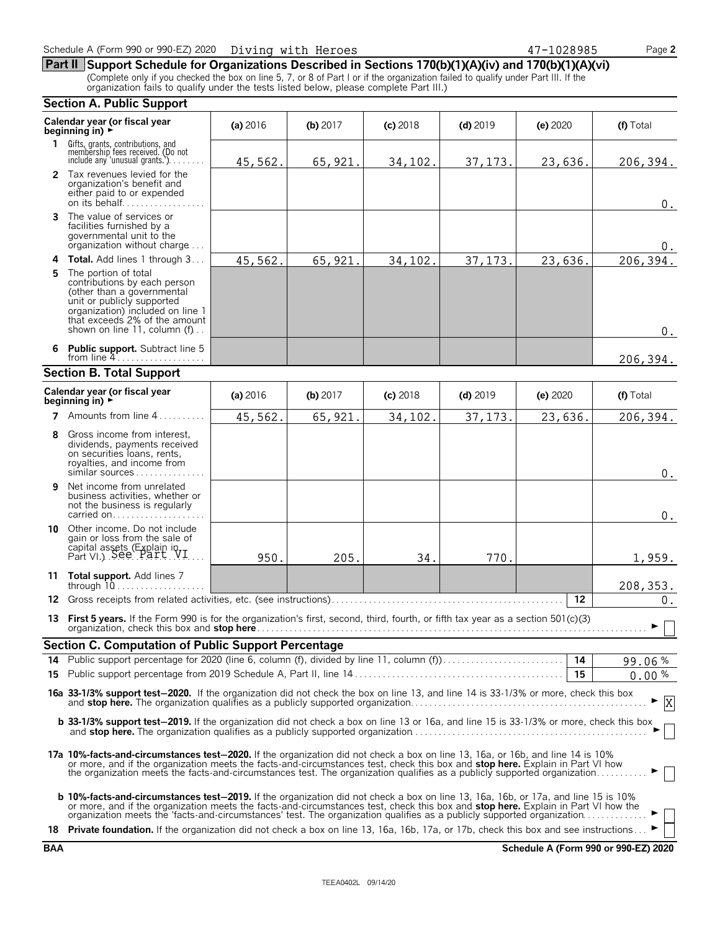**Part II Support Schedule for Organizations Described in Sections 170(b)(1)(A)(iv) and 170(b)(1)(A)(vi)** (Complete only if you checked the box on line 5, 7, or 8 of Part I or if the organization failed to qualify under Part III. If the organization fails to qualify under the tests listed below, please complete Part III.)

#### **Section A. Public Support Calendar year (or fiscal year (a) 2016 <b>(b)** 2017 **(c)** 2018 **(d)** 2019 **(e)** 2020 **(f)** Total **beginning in) 1** Gifts, grants, contributions, and<br>
membership fees received. (Do not<br>
include any 'unusual grants.'). . . . . . . . **2** Tax revenues levied for the organization's benefit and either paid to or expended on its behalf. . . . . . . . . . . . . . . . . . **3** The value of services or facilities furnished by a governmental unit to the organization without charge. . . . **4 Total.** Add lines 1 through 3 . . . **5** The portion of total contributions by each person (other than a governmental unit or publicly supported organization) included on line 1 that exceeds 2% of the amount shown on line 11, column (f). **6 Public support.** Subtract line 5 from line 4 **Section B. Total Support Calendar year (or fiscal year (a) 2016 <b>(b)** 2017 **(c)** 2018 **(d)** 2019 **(e)** 2020 **(f)** Total **beginning in) 7** Amounts from line 4...... **8** Gross income from interest, dividends, payments received on securities loans, rents, royalties, and income from similar sources . . . . **9** Net income from unrelated business activities, whether or not the business is regularly carried on. . . . . . . . . . . **10** Other income. Do not include gain or loss from the sale of capital assets (Explain in  $Part VI.$ ). See  $Part VI.$ ... **11 Total support.** Add lines 7 through 10. . . . . . . . . . . . . . . . . . . . **12** Gross receipts from related activities, etc. (see instructions). . . . . . . . . . . . . . . . . . . . . . . . . . . . . . . . . . . . . . . . . . . . . . . . . . **12 13 First 5 years.** If the Form 990 is for the organization's first, second, third, fourth, or fifth tax year as a section 501(c)(3) organization, check this box and **stop here**. . . . . . . . . . . . . . . . . . . . . . . . . . . . . . . . . . . . . . . . . . . . . . . . . . . . . . . . . . . . . . . . . . . . . . . . . . . . . . . . . . . . G **Section C. Computation of Public Support Percentage 14** Public support percentage for 2020 (line 6, column (f), divided by line 11, column (f)). . . . . . . . . . . . . . . . . . . . . . . . . . **14** % **15** Public support percentage from 2019 Schedule A, Part II, line 14 . . . . . . . . . . . . . . . . . . . . . . . . . . . . . . . . . . . . . . . . . . . . . **15** % **16a 33-1/3% support test**'**2020.** If the organization did not check the box on line 13, and line 14 is 33-1/3% or more, check this box and **stop here.** The organization qualifies as a publicly supported organization. . . . . . . . . . . . . . . . . . . . . . . . . . . . . . . . . . . . . . . . . . . . . . . . . . . G **b 33-1/3% support test-2019.** If the organization did not check a box on line 13 or 16a, and line 15 is 33-1/3% or more, check this box and **stop here.** The organization qualifies as a publicly supported organization. . . . . . . . . . . . . . . . . . . . . . . . . . . . . . . . . . . . . . . . . . . . . . . . . . . G **17a 10%-facts-and-circumstances test**'**2020.** If the organization did not check a box on line 13, 16a, or 16b, and line 14 is 10% or more, and if the organization meets the facts-and-circumstances test, check this box and **stop here.** Explain in Part VI how<br>the organization meets the facts-and-circumstances test. The organization qualifies as a publ **b** 10%-facts-and-circumstances test-2019. If the organization did not check a box on line 13, 16a, 16b, or 17a, and line 15 is 10% or more, and if the organization meets the facts-and-circumstances test, check this box and **stop here.** Explain in Part VI how the<br>organization meets the 'facts-and-circumstances' test. The organization qualifies as a pu 18 **Private foundation.** If the organization did not check a box on line 13, 16a, 16b, 17a, or 17b, check this box and see instructions. 45,562. 65,921. 34,102. 37,173. 23,636. 206,394. 0.  $\Omega$ 45,562. 65,921. 34,102. 37,173. 23,636. 206,394. 0. 206,394. 45,562. 65,921. 34,102. 37,173. 23,636. 206,394. 0.  $\boldsymbol{0}$  . 950. 205. 34. 770. 1,959. 208,353. 0. 99.06  $0.00%$ X

**BAA Schedule A (Form 990 or 990-EZ) 2020**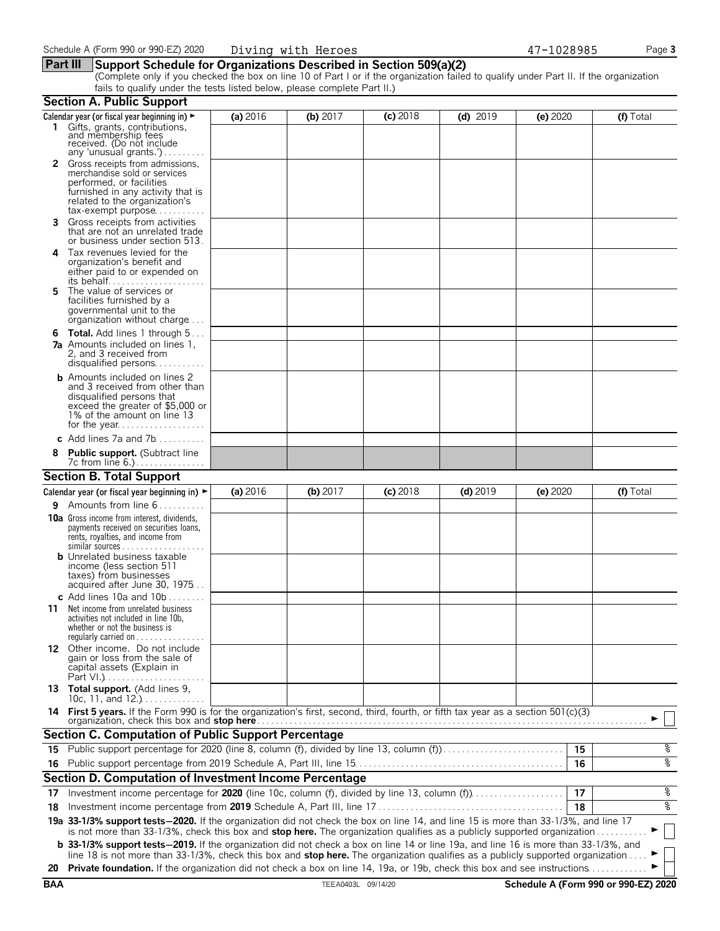#### **Part III Support Schedule for Organizations Described in Section 509(a)(2)**

(Complete only if you checked the box on line 10 of Part I or if the organization failed to qualify under Part II. If the organization fails to qualify under the tests listed below, please complete Part II.)

|            | <b>Section A. Public Support</b>                                                                                                                                                                                                                                              |          |                    |            |            |          |                                      |
|------------|-------------------------------------------------------------------------------------------------------------------------------------------------------------------------------------------------------------------------------------------------------------------------------|----------|--------------------|------------|------------|----------|--------------------------------------|
|            | Calendar year (or fiscal year beginning in) $\blacktriangleright$                                                                                                                                                                                                             | (a) 2016 | (b) $2017$         | $(c)$ 2018 | $(d)$ 2019 | (e) 2020 | (f) Total                            |
|            | 1 Gifts, grants, contributions,<br>and membership fees<br>received. (Do not include<br>any 'unusual grants.')                                                                                                                                                                 |          |                    |            |            |          |                                      |
|            | Gross receipts from admissions,<br>merchandise sold or services<br>performed, or facilities<br>furnished in any activity that is<br>related to the organization's<br>$tax\text{-}exempt$ purpose                                                                              |          |                    |            |            |          |                                      |
| 3.         | Gross receipts from activities<br>that are not an unrelated trade<br>or business under section 513.                                                                                                                                                                           |          |                    |            |            |          |                                      |
| 4          | Tax revenues levied for the<br>organization's benefit and<br>either paid to or expended on<br>its behalf                                                                                                                                                                      |          |                    |            |            |          |                                      |
| 5.         | The value of services or<br>facilities furnished by a<br>governmental unit to the<br>organization without charge                                                                                                                                                              |          |                    |            |            |          |                                      |
|            | <b>6 Total.</b> Add lines 1 through 5<br><b>7a</b> Amounts included on lines 1,<br>2, and 3 received from<br>disqualified persons                                                                                                                                             |          |                    |            |            |          |                                      |
|            | <b>b</b> Amounts included on lines 2<br>and 3 received from other than<br>disqualified persons that<br>exceed the greater of \$5,000 or<br>1% of the amount on line 13                                                                                                        |          |                    |            |            |          |                                      |
|            | c Add lines $7a$ and $7b$                                                                                                                                                                                                                                                     |          |                    |            |            |          |                                      |
|            | <b>Public support.</b> (Subtract line                                                                                                                                                                                                                                         |          |                    |            |            |          |                                      |
|            | <b>Section B. Total Support</b>                                                                                                                                                                                                                                               |          |                    |            |            |          |                                      |
|            | Calendar year (or fiscal year beginning in) $\blacktriangleright$                                                                                                                                                                                                             | (a) 2016 | (b) 2017           | $(c)$ 2018 | $(d)$ 2019 | (e) 2020 | (f) Total                            |
| 9.         | Amounts from line 6                                                                                                                                                                                                                                                           |          |                    |            |            |          |                                      |
|            | <b>10a</b> Gross income from interest, dividends,<br>payments received on securities loans,<br>rents, royalties, and income from<br><b>b</b> Unrelated business taxable                                                                                                       |          |                    |            |            |          |                                      |
|            | income (less section 511<br>taxes) from businesses<br>acquired after June 30, 1975<br>c Add lines 10a and $10b$                                                                                                                                                               |          |                    |            |            |          |                                      |
| 11         | Net income from unrelated business<br>activities not included in line 10b,<br>whether or not the business is<br>regularly carried on $\dots\dots\dots\dots\dots$                                                                                                              |          |                    |            |            |          |                                      |
|            | 12 Other income. Do not include<br>gain or loss from the sale of<br>capital assets (Explain in                                                                                                                                                                                |          |                    |            |            |          |                                      |
|            | 13 Total support. (Add lines 9,<br>10c, 11, and $12.$ )                                                                                                                                                                                                                       |          |                    |            |            |          |                                      |
|            | 14 First 5 years. If the Form 990 is for the organization's first, second, third, fourth, or fifth tax year as a section 501(c)(3)<br>organization, check this box and <b>stop here</b>                                                                                       |          |                    |            |            |          |                                      |
|            | <b>Section C. Computation of Public Support Percentage</b>                                                                                                                                                                                                                    |          |                    |            |            |          |                                      |
|            | 15 Public support percentage for 2020 (line 8, column (f), divided by line 13, column (f)                                                                                                                                                                                     |          |                    |            |            | 15       | နွ                                   |
|            |                                                                                                                                                                                                                                                                               |          |                    |            |            | 16       | နွ                                   |
|            | Section D. Computation of Investment Income Percentage                                                                                                                                                                                                                        |          |                    |            |            |          |                                      |
| 17         | Investment income percentage for 2020 (line 10c, column (f), divided by line 13, column (f)                                                                                                                                                                                   |          |                    |            |            | 17       | နွ                                   |
| 18         |                                                                                                                                                                                                                                                                               |          |                    |            |            | 18       | နွ                                   |
|            | 19a 33-1/3% support tests-2020. If the organization did not check the box on line 14, and line 15 is more than 33-1/3%, and line 17<br>is not more than 33-1/3%, check this box and stop here. The organization qualifies as a publicly supported organization                |          |                    |            |            |          |                                      |
|            | <b>b</b> 33-1/3% support tests-2019. If the organization did not check a box on line 14 or line 19a, and line 16 is more than 33-1/3%, and<br>line 18 is not more than 33-1/3%, check this box and stop here. The organization qualifies as a publicly supported organization |          |                    |            |            |          |                                      |
| 20         | Private foundation. If the organization did not check a box on line 14, 19a, or 19b, check this box and see instructions                                                                                                                                                      |          |                    |            |            |          |                                      |
| <b>BAA</b> |                                                                                                                                                                                                                                                                               |          | TEEA0403L 09/14/20 |            |            |          | Schedule A (Form 990 or 990-EZ) 2020 |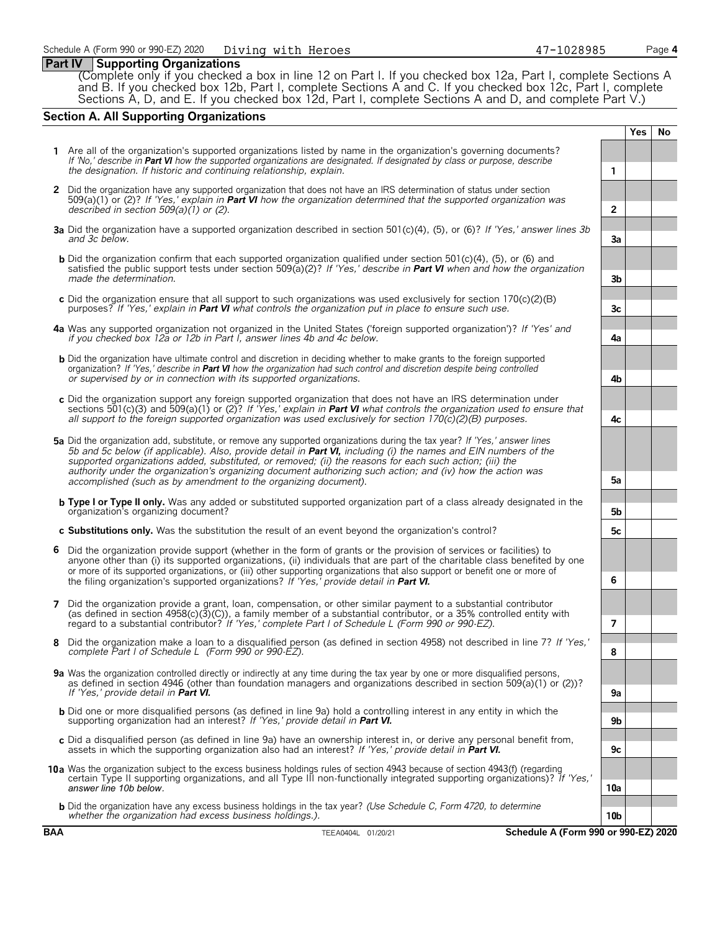#### **Part IV Supporting Organizations**

(Complete only if you checked a box in line 12 on Part I. If you checked box 12a, Part I, complete Sections A and B. If you checked box 12b, Part I, complete Sections A and C. If you checked box 12c, Part I, complete Sections A, D, and E. If you checked box 12d, Part I, complete Sections A and D, and complete Part V.)

### **Section A. All Supporting Organizations**

|   |                                                                                                                                                                                                                                                                                                                                                                                                                                                                                                                                                      |                 | <b>Yes</b> | <b>No</b> |
|---|------------------------------------------------------------------------------------------------------------------------------------------------------------------------------------------------------------------------------------------------------------------------------------------------------------------------------------------------------------------------------------------------------------------------------------------------------------------------------------------------------------------------------------------------------|-----------------|------------|-----------|
|   | 1 Are all of the organization's supported organizations listed by name in the organization's governing documents?<br>If 'No,' describe in Part VI how the supported organizations are designated. If designated by class or purpose, describe<br>the designation. If historic and continuing relationship, explain.                                                                                                                                                                                                                                  | 1               |            |           |
|   | 2 Did the organization have any supported organization that does not have an IRS determination of status under section<br>509(a)(1) or (2)? If 'Yes,' explain in <b>Part VI</b> how the organization determined that the supported organization was<br>described in section $509(a)(1)$ or (2).                                                                                                                                                                                                                                                      | $\overline{2}$  |            |           |
|   | 3a Did the organization have a supported organization described in section 501(c)(4), (5), or (6)? If 'Yes,' answer lines 3b<br>and 3c below.                                                                                                                                                                                                                                                                                                                                                                                                        | 3a              |            |           |
|   | <b>b</b> Did the organization confirm that each supported organization qualified under section 501(c)(4), (5), or (6) and<br>satisfied the public support tests under section 509( $a(2)$ ? If 'Yes,' describe in <b>Part VI</b> when and how the organization<br>made the determination.                                                                                                                                                                                                                                                            | 3 <sub>b</sub>  |            |           |
|   | c Did the organization ensure that all support to such organizations was used exclusively for section $170(c)(2)(B)$<br>purposes? If 'Yes,' explain in <b>Part VI</b> what controls the organization put in place to ensure such use.                                                                                                                                                                                                                                                                                                                | 3c              |            |           |
|   | 4a Was any supported organization not organized in the United States ('foreign supported organization')? If 'Yes' and<br>if you checked box 12a or 12b in Part I, answer lines 4b and 4c below.                                                                                                                                                                                                                                                                                                                                                      | 4a              |            |           |
|   | <b>b</b> Did the organization have ultimate control and discretion in deciding whether to make grants to the foreign supported<br>organization? If 'Yes,' describe in <b>Part VI</b> how the organization had such control and discretion despite being controlled<br>or supervised by or in connection with its supported organizations.                                                                                                                                                                                                            | 4b              |            |           |
|   | c Did the organization support any foreign supported organization that does not have an IRS determination under<br>sections 501(c)(3) and 509(a)(1) or (2)? If 'Yes,' explain in <b>Part VI</b> what controls the organization used to ensure that<br>all support to the foreign supported organization was used exclusively for section $170(c)(2)(B)$ purposes.                                                                                                                                                                                    | 4c              |            |           |
|   | 5a Did the organization add, substitute, or remove any supported organizations during the tax year? If 'Yes,' answer lines<br>5b and 5c below (if applicable). Also, provide detail in <b>Part VI</b> , including (i) the names and EIN numbers of the<br>supported organizations added, substituted, or removed; (ii) the reasons for each such action; (iii) the<br>authority under the organization's organizing document authorizing such action; and (iv) how the action was<br>accomplished (such as by amendment to the organizing document). | 5a              |            |           |
|   | <b>b</b> Type I or Type II only. Was any added or substituted supported organization part of a class already designated in the<br>organization's organizing document?                                                                                                                                                                                                                                                                                                                                                                                | 5b              |            |           |
|   | c Substitutions only. Was the substitution the result of an event beyond the organization's control?                                                                                                                                                                                                                                                                                                                                                                                                                                                 | 5с              |            |           |
| 6 | Did the organization provide support (whether in the form of grants or the provision of services or facilities) to<br>anyone other than (i) its supported organizations, (ii) individuals that are part of the charitable class benefited by one<br>or more of its supported organizations, or (iii) other supporting organizations that also support or benefit one or more of<br>the filing organization's supported organizations? If 'Yes,' provide detail in Part VI.                                                                           | 6               |            |           |
| 7 | Did the organization provide a grant, loan, compensation, or other similar payment to a substantial contributor<br>(as defined in section $4958(c)(3)(c)$ ), a family member of a substantial contributor, or a 35% controlled entity with<br>regard to a substantial contributor? If 'Yes,' complete Part I of Schedule L (Form 990 or 990-EZ).                                                                                                                                                                                                     | 7               |            |           |
| 8 | Did the organization make a loan to a disqualified person (as defined in section 4958) not described in line 7? If 'Yes,'<br>complete Part I of Schedule L (Form 990 or 990-EZ).                                                                                                                                                                                                                                                                                                                                                                     | 8               |            |           |
|   | 9a Was the organization controlled directly or indirectly at any time during the tax year by one or more disqualified persons,<br>as defined in section 4946 (other than foundation managers and organizations described in section 509(a)(1) or (2))?<br>If 'Yes.' provide detail in <b>Part VI.</b>                                                                                                                                                                                                                                                | 9a              |            |           |
|   | <b>b</b> Did one or more disqualified persons (as defined in line 9a) hold a controlling interest in any entity in which the<br>supporting organization had an interest? If 'Yes,' provide detail in Part VI.                                                                                                                                                                                                                                                                                                                                        | 9b              |            |           |
|   | c Did a disqualified person (as defined in line 9a) have an ownership interest in, or derive any personal benefit from,<br>assets in which the supporting organization also had an interest? If 'Yes,' provide detail in <b>Part VI.</b>                                                                                                                                                                                                                                                                                                             | 9c              |            |           |
|   | 10a Was the organization subject to the excess business holdings rules of section 4943 because of section 4943(f) (regarding<br>certain Type II supporting organizations, and all Type III non-functionally integrated supporting organizations)? If 'Yes,'<br>answer line 10b below.                                                                                                                                                                                                                                                                | 10a             |            |           |
|   | <b>b</b> Did the organization have any excess business holdings in the tax year? (Use Schedule C, Form 4720, to determine<br>whether the organization had excess business holdings.).                                                                                                                                                                                                                                                                                                                                                                | 10 <sub>b</sub> |            |           |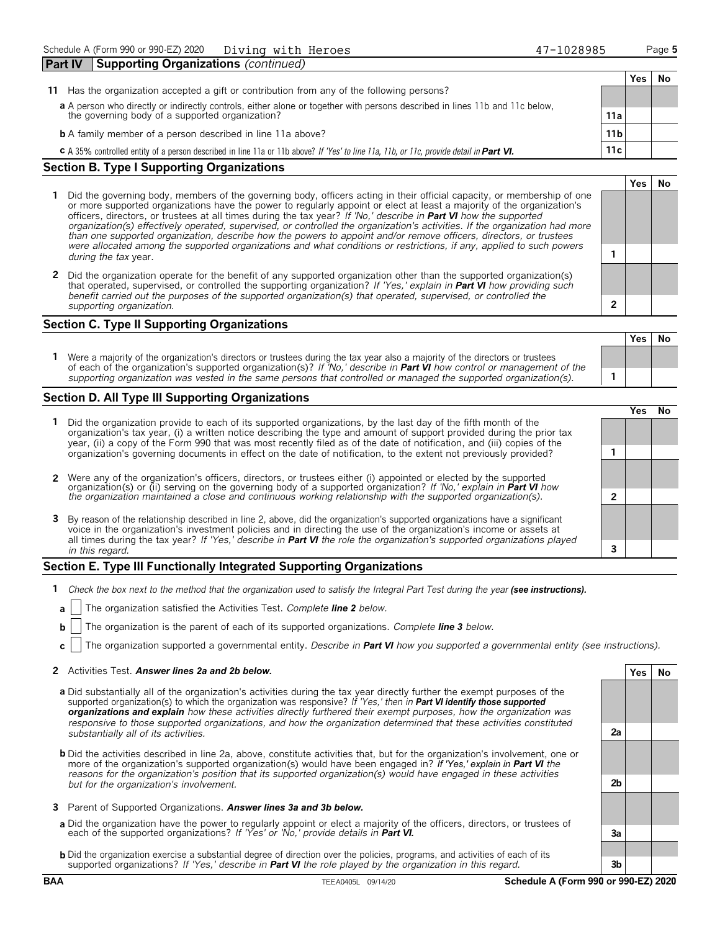| <b>Part IV</b>                                                                                                              | <b>Supporting Organizations (continued)</b>                                                                                                    |     |    |
|-----------------------------------------------------------------------------------------------------------------------------|------------------------------------------------------------------------------------------------------------------------------------------------|-----|----|
|                                                                                                                             |                                                                                                                                                | Yes | No |
| 11                                                                                                                          | Has the organization accepted a gift or contribution from any of the following persons?                                                        |     |    |
| a A person who directly or indirectly controls, either alone or together with persons described in lines 11b and 11c below, |                                                                                                                                                |     |    |
|                                                                                                                             | the governing body of a supported organization?<br>11a                                                                                         |     |    |
|                                                                                                                             | <b>b</b> A family member of a person described in line 11a above?<br>11 <sub>b</sub>                                                           |     |    |
|                                                                                                                             | 11c<br>C A 35% controlled entity of a person described in line 11a or 11b above? If 'Yes' to line 11a, 11b, or 11c, provide detail in Part VI. |     |    |
|                                                                                                                             | Castian D. Tuna I Cunnanting Overational                                                                                                       |     |    |

#### **Section B. Type I Supporting Organizations**

- **1** Did the governing body, members of the governing body, officers acting in their official capacity, or membership of one or more supported organizations have the power to regularly appoint or elect at least a majority of the organization's officers, directors, or trustees at all times during the tax year? *If 'No,' describe in Part VI how the supported organization(s) effectively operated, supervised, or controlled the organization's activities. If the organization had more than one supported organization, describe how the powers to appoint and/or remove officers, directors, or trustees were allocated among the supported organizations and what conditions or restrictions, if any, applied to such powers* **1** *during the tax* year.
- **2** Did the organization operate for the benefit of any supported organization other than the supported organization(s) that operated, supervised, or controlled the supporting organization? *If 'Yes,' explain in Part VI how providing such benefit carried out the purposes of the supported organization(s) that operated, supervised, or controlled the supporting organization.* **2**

#### **Section C. Type II Supporting Organizations**

**Yes No 1** Were a majority of the organization's directors or trustees during the tax year also a majority of the directors or trustees of each of the organization's supported organization(s)? *If 'No,' describe in Part VI how control or management of the supporting organization was vested in the same persons that controlled or managed the supported organization(s).* **1**

#### **Section D. All Type III Supporting Organizations**

|                                                                                                                                                                                                                                                                                                                                                                                       | ′e< |  |
|---------------------------------------------------------------------------------------------------------------------------------------------------------------------------------------------------------------------------------------------------------------------------------------------------------------------------------------------------------------------------------------|-----|--|
| 1 Did the organization provide to each of its supported organizations, by the last day of the fifth month of the<br>organization's tax year, (i) a written notice describing the type and amount of support provided during the prior tax<br>year, (ii) a copy of the Form 990 that was most recently filed as of the date of notification, and (iii) copies of the                   |     |  |
| organization's governing documents in effect on the date of notification, to the extent not previously provided?                                                                                                                                                                                                                                                                      |     |  |
| 2 Were any of the organization's officers, directors, or trustees either (i) appointed or elected by the supported                                                                                                                                                                                                                                                                    |     |  |
| organization(s) or (ii) serving on the governing body of a supported organization? If No, explain in <b>Part VI</b> how<br>the organization maintained a close and continuous working relationship with the supported organization(s).                                                                                                                                                |     |  |
| 3 By reason of the relationship described in line 2, above, did the organization's supported organizations have a significant<br>voice in the organization's investment policies and in directing the use of the organization's income or assets at<br>all times during the tax year? If 'Yes,' describe in <b>Part VI</b> the role the organization's supported organizations played |     |  |
| in this regard.                                                                                                                                                                                                                                                                                                                                                                       |     |  |

#### **Section E. Type III Functionally Integrated Supporting Organizations**

- **1** *Check the box next to the method that the organization used to satisfy the Integral Part Test during the year (see instructions).* 
	- **a** The organization satisfied the Activities Test. *Complete line 2 below.*
	- **b** The organization is the parent of each of its supported organizations. *Complete line 3 below.*
	- **c** The organization supported a governmental entity. *Describe in Part VI how you supported a governmental entity (see instructions).*

#### **2** Activities Test. *Answer lines 2a and 2b below.* **Yes No**

- **a** Did substantially all of the organization's activities during the tax year directly further the exempt purposes of the supported organization(s) to which the organization was responsive? *If 'Yes,' then in Part VI identify those supported organizations and explain how these activities directly furthered their exempt purposes, how the organization was responsive to those supported organizations, and how the organization determined that these activities constituted substantially all of its activities.* **2a**
- **b** Did the activities described in line 2a, above, constitute activities that, but for the organization's involvement, one or more of the organization's supported organization(s) would have been engaged in? *If 'Yes,' explain in Part VI the reasons for the organization's position that its supported organization(s) would have engaged in these activities but for the organization's involvement.* **2b**
- **3** Parent of Supported Organizations. *Answer lines 3a and 3b below.*
- **a** Did the organization have the power to regularly appoint or elect a majority of the officers, directors, or trustees of each of the supported organizations? *If 'Yes' or 'No,' provide details in Part VI.* **3a**
- **b** Did the organization exercise a substantial degree of direction over the policies, programs, and activities of each of its supported organizations? *If 'Yes,' describe in Part VI the role played by the organization in this regard.* **3b**

**Yes No**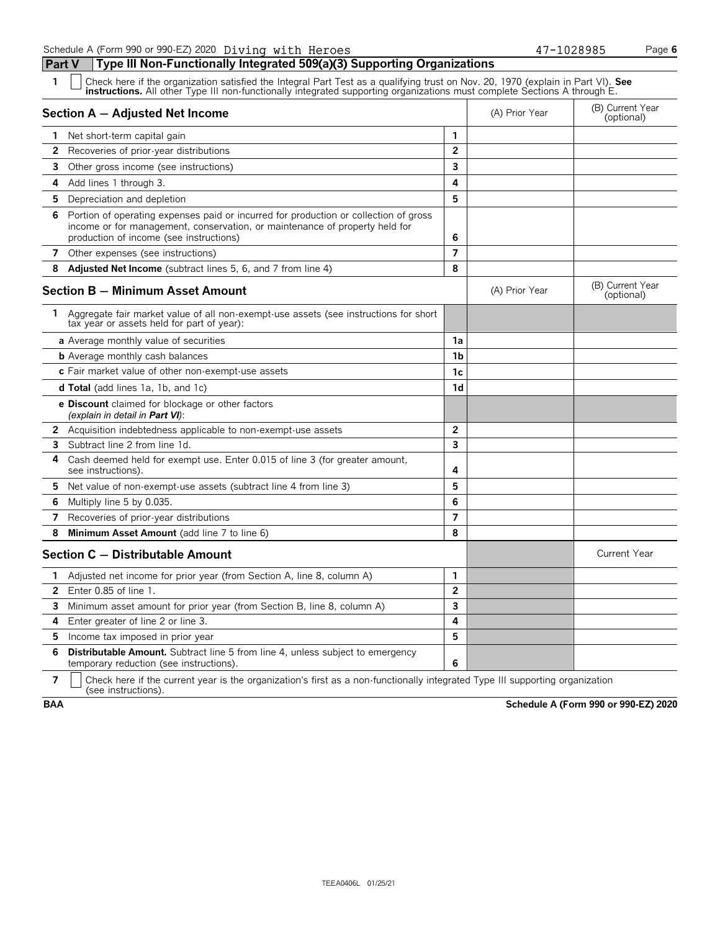Schedule A (Form 990 or 990-EZ) 2020 Diving with Heroes 47-1028985 Page **6** 

**Part V Type III Non-Functionally Integrated 509(a)(3) Supporting Organizations**

| 1                     | Check here if the organization satisfied the Integral Part Test as a qualifying trust on Nov. 20, 1970 (explain in Part VI). See instructions. All other Type III non-functionally integrated supporting organizations must co |                |                |                                |  |  |  |
|-----------------------|--------------------------------------------------------------------------------------------------------------------------------------------------------------------------------------------------------------------------------|----------------|----------------|--------------------------------|--|--|--|
|                       | Section A - Adjusted Net Income                                                                                                                                                                                                |                | (A) Prior Year | (B) Current Year<br>(optional) |  |  |  |
| $\mathbf{1}$          | Net short-term capital gain                                                                                                                                                                                                    | 1              |                |                                |  |  |  |
| $\overline{2}$        | Recoveries of prior-year distributions                                                                                                                                                                                         | $\overline{2}$ |                |                                |  |  |  |
|                       | <b>3</b> Other gross income (see instructions)                                                                                                                                                                                 | 3              |                |                                |  |  |  |
| 4                     | Add lines 1 through 3.                                                                                                                                                                                                         | 4              |                |                                |  |  |  |
| 5                     | Depreciation and depletion                                                                                                                                                                                                     | 5              |                |                                |  |  |  |
| 6                     | Portion of operating expenses paid or incurred for production or collection of gross<br>income or for management, conservation, or maintenance of property held for<br>production of income (see instructions)                 | 6              |                |                                |  |  |  |
|                       | 7 Other expenses (see instructions)                                                                                                                                                                                            | $\overline{7}$ |                |                                |  |  |  |
| 8                     | <b>Adjusted Net Income</b> (subtract lines 5, 6, and 7 from line 4)                                                                                                                                                            | 8              |                |                                |  |  |  |
|                       | <b>Section B - Minimum Asset Amount</b>                                                                                                                                                                                        |                | (A) Prior Year | (B) Current Year<br>(optional) |  |  |  |
|                       | 1 Aggregate fair market value of all non-exempt-use assets (see instructions for short<br>tax year or assets held for part of year):                                                                                           |                |                |                                |  |  |  |
|                       | a Average monthly value of securities                                                                                                                                                                                          | 1a             |                |                                |  |  |  |
|                       | <b>b</b> Average monthly cash balances                                                                                                                                                                                         | 1b             |                |                                |  |  |  |
|                       | c Fair market value of other non-exempt-use assets                                                                                                                                                                             | 1c             |                |                                |  |  |  |
|                       | <b>d Total</b> (add lines 1a, 1b, and 1c)                                                                                                                                                                                      | 1 <sub>d</sub> |                |                                |  |  |  |
|                       | e Discount claimed for blockage or other factors<br>(explain in detail in <b>Part VI</b> ):                                                                                                                                    |                |                |                                |  |  |  |
| $\mathbf{2}^{\prime}$ | Acquisition indebtedness applicable to non-exempt-use assets                                                                                                                                                                   | $\overline{2}$ |                |                                |  |  |  |
| 3                     | Subtract line 2 from line 1d.                                                                                                                                                                                                  | 3              |                |                                |  |  |  |
| 4                     | Cash deemed held for exempt use. Enter 0.015 of line 3 (for greater amount,<br>see instructions).                                                                                                                              | 4              |                |                                |  |  |  |
| 5.                    | Net value of non-exempt-use assets (subtract line 4 from line 3)                                                                                                                                                               | 5              |                |                                |  |  |  |
| 6                     | Multiply line 5 by 0.035.                                                                                                                                                                                                      | 6              |                |                                |  |  |  |
| $\overline{7}$        | Recoveries of prior-year distributions                                                                                                                                                                                         | $\overline{7}$ |                |                                |  |  |  |
| 8                     | Minimum Asset Amount (add line 7 to line 6)                                                                                                                                                                                    | 8              |                |                                |  |  |  |
|                       | Section C - Distributable Amount                                                                                                                                                                                               |                |                | <b>Current Year</b>            |  |  |  |
| 1                     | Adjusted net income for prior year (from Section A, line 8, column A)                                                                                                                                                          | $\mathbf{1}$   |                |                                |  |  |  |
| $\overline{2}$        | Enter $0.85$ of line $1.$                                                                                                                                                                                                      | $\overline{2}$ |                |                                |  |  |  |
| 3                     | Minimum asset amount for prior year (from Section B, line 8, column A)                                                                                                                                                         | 3              |                |                                |  |  |  |
| 4                     | Enter greater of line 2 or line 3.                                                                                                                                                                                             | 4              |                |                                |  |  |  |
| 5                     | Income tax imposed in prior year                                                                                                                                                                                               | 5              |                |                                |  |  |  |
| 6                     | <b>Distributable Amount.</b> Subtract line 5 from line 4, unless subject to emergency<br>temporary reduction (see instructions).                                                                                               | 6              |                |                                |  |  |  |

**7**  $\mid$  Check here if the current year is the organization's first as a non-functionally integrated Type III supporting organization (see instructions).

**BAA Schedule A (Form 990 or 990-EZ) 2020**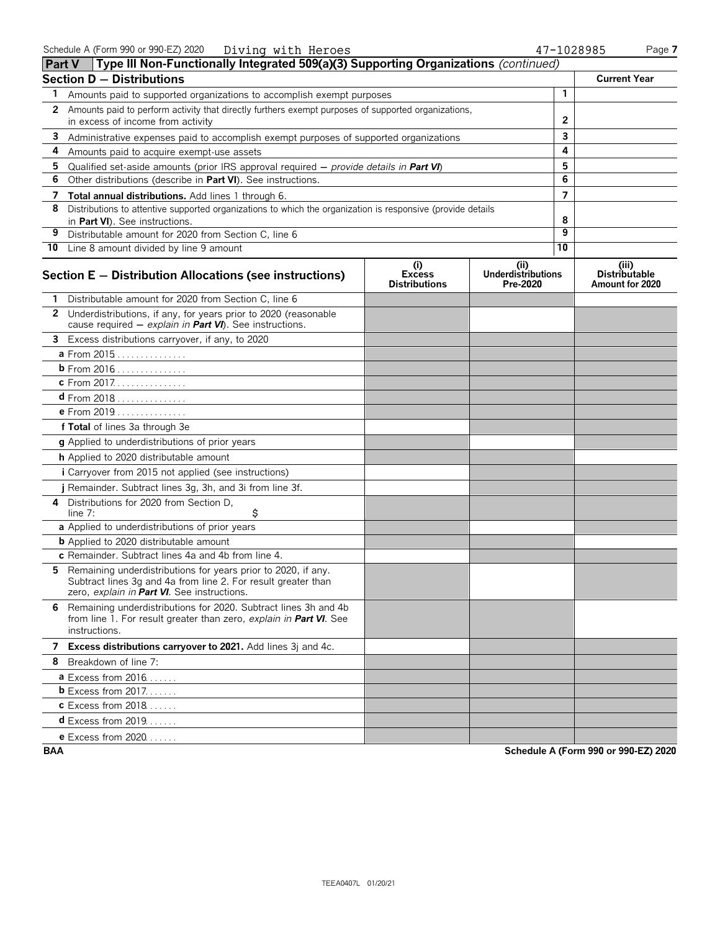|              | Type III Non-Functionally Integrated 509(a)(3) Supporting Organizations (continued)<br><b>Part V</b>                                                                          |                                              |                                               |                |                                                  |
|--------------|-------------------------------------------------------------------------------------------------------------------------------------------------------------------------------|----------------------------------------------|-----------------------------------------------|----------------|--------------------------------------------------|
|              | Section D - Distributions                                                                                                                                                     |                                              |                                               |                | <b>Current Year</b>                              |
| 1            | Amounts paid to supported organizations to accomplish exempt purposes                                                                                                         |                                              |                                               | $\mathbf{1}$   |                                                  |
| $\mathbf{2}$ | Amounts paid to perform activity that directly furthers exempt purposes of supported organizations,<br>in excess of income from activity                                      |                                              |                                               | 2              |                                                  |
| 3            |                                                                                                                                                                               | 3                                            |                                               |                |                                                  |
| 4            | Administrative expenses paid to accomplish exempt purposes of supported organizations<br>Amounts paid to acquire exempt-use assets                                            |                                              |                                               | 4              |                                                  |
| 5            |                                                                                                                                                                               |                                              |                                               | 5              |                                                  |
| 6            | Qualified set-aside amounts (prior IRS approval required $-$ provide details in <b>Part VI</b> )<br>Other distributions (describe in Part VI). See instructions.              |                                              |                                               | 6              |                                                  |
| 7            | Total annual distributions. Add lines 1 through 6.                                                                                                                            |                                              |                                               | $\overline{7}$ |                                                  |
| 8            | Distributions to attentive supported organizations to which the organization is responsive (provide details                                                                   |                                              |                                               |                |                                                  |
|              | in Part VI). See instructions.                                                                                                                                                |                                              |                                               | 8              |                                                  |
| 9            | Distributable amount for 2020 from Section C, line 6                                                                                                                          |                                              |                                               | 9              |                                                  |
|              | <b>10</b> Line 8 amount divided by line 9 amount                                                                                                                              |                                              |                                               | 10             |                                                  |
|              | Section E - Distribution Allocations (see instructions)                                                                                                                       | (i)<br><b>Excess</b><br><b>Distributions</b> | (ii)<br><b>Underdistributions</b><br>Pre-2020 |                | (iii)<br><b>Distributable</b><br>Amount for 2020 |
|              | Distributable amount for 2020 from Section C, line 6                                                                                                                          |                                              |                                               |                |                                                  |
|              | 2 Underdistributions, if any, for years prior to 2020 (reasonable<br>cause required - explain in Part VI). See instructions.                                                  |                                              |                                               |                |                                                  |
|              | 3 Excess distributions carryover, if any, to 2020                                                                                                                             |                                              |                                               |                |                                                  |
|              | a From 2015                                                                                                                                                                   |                                              |                                               |                |                                                  |
|              | b From 2016                                                                                                                                                                   |                                              |                                               |                |                                                  |
|              | c From 2017.                                                                                                                                                                  |                                              |                                               |                |                                                  |
|              | $d$ From 2018                                                                                                                                                                 |                                              |                                               |                |                                                  |
|              | e From 2019                                                                                                                                                                   |                                              |                                               |                |                                                  |
|              | f Total of lines 3a through 3e                                                                                                                                                |                                              |                                               |                |                                                  |
|              | g Applied to underdistributions of prior years                                                                                                                                |                                              |                                               |                |                                                  |
|              | h Applied to 2020 distributable amount                                                                                                                                        |                                              |                                               |                |                                                  |
|              | i Carryover from 2015 not applied (see instructions)                                                                                                                          |                                              |                                               |                |                                                  |
|              | j Remainder. Subtract lines 3g, 3h, and 3i from line 3f.                                                                                                                      |                                              |                                               |                |                                                  |
| 4            | Distributions for 2020 from Section D,<br>\$<br>line 7:                                                                                                                       |                                              |                                               |                |                                                  |
|              | a Applied to underdistributions of prior years                                                                                                                                |                                              |                                               |                |                                                  |
|              | <b>b</b> Applied to 2020 distributable amount                                                                                                                                 |                                              |                                               |                |                                                  |
|              | c Remainder. Subtract lines 4a and 4b from line 4.                                                                                                                            |                                              |                                               |                |                                                  |
| 5.           | Remaining underdistributions for years prior to 2020, if any.<br>Subtract lines 3g and 4a from line 2. For result greater than<br>zero, explain in Part VI. See instructions. |                                              |                                               |                |                                                  |
|              | 6 Remaining underdistributions for 2020. Subtract lines 3h and 4b<br>from line 1. For result greater than zero, explain in Part VI. See<br>instructions.                      |                                              |                                               |                |                                                  |
|              | 7 Excess distributions carryover to 2021. Add lines 3j and 4c.                                                                                                                |                                              |                                               |                |                                                  |
|              | 8 Breakdown of line 7:                                                                                                                                                        |                                              |                                               |                |                                                  |
|              | <b>a</b> Excess from $2016$                                                                                                                                                   |                                              |                                               |                |                                                  |
|              | <b>b</b> Excess from 2017.                                                                                                                                                    |                                              |                                               |                |                                                  |
|              | <b>c</b> Excess from 2018                                                                                                                                                     |                                              |                                               |                |                                                  |
|              | $d$ Excess from 2019.                                                                                                                                                         |                                              |                                               |                |                                                  |
|              | <b>e</b> Excess from 2020.                                                                                                                                                    |                                              |                                               |                |                                                  |

**BAA Schedule A (Form 990 or 990-EZ) 2020**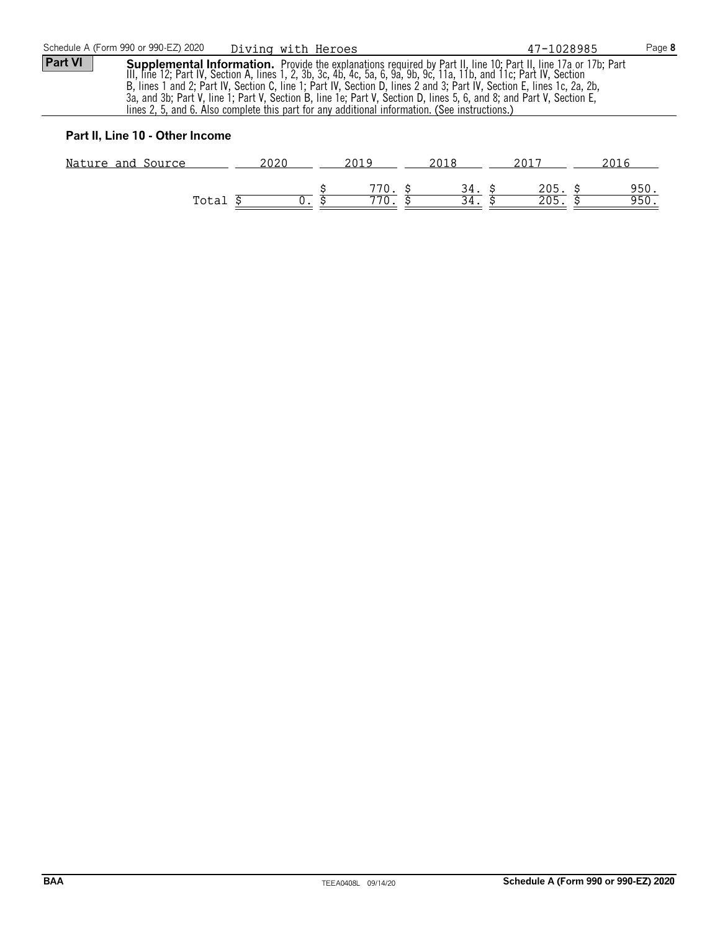#### **Part II, Line 10 - Other Income**

| Nature and Source | 2020 |              |                   |             |
|-------------------|------|--------------|-------------------|-------------|
| Total             |      | 770.<br>770. | 205<br>つのち<br>ZUJ | 950<br>950. |